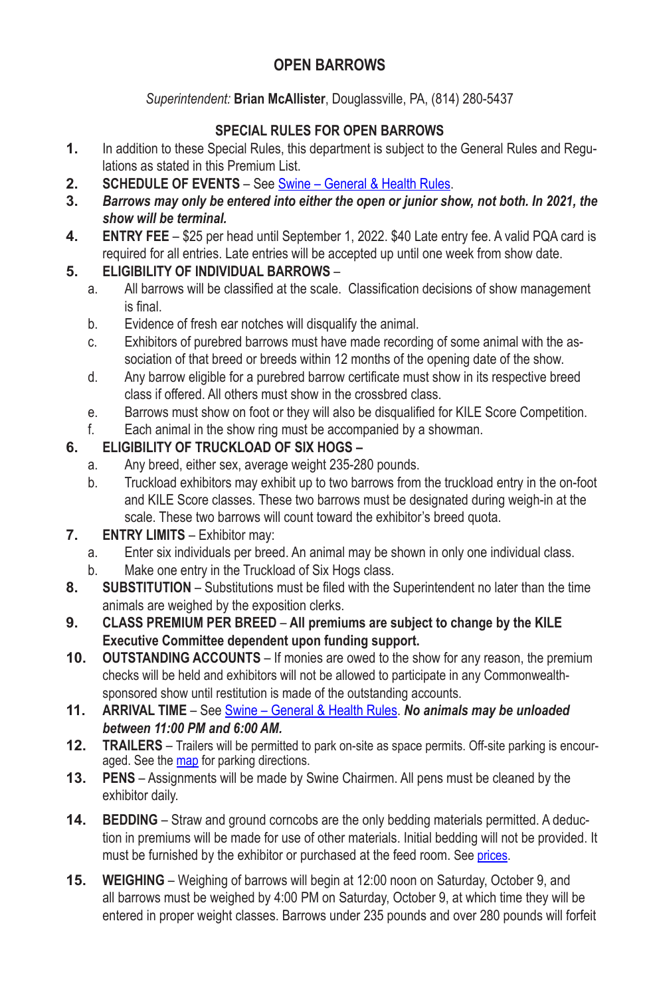## **OPEN BARROWS**

*Superintendent:* **Brian McAllister**, Douglassville, PA, (814) 280-5437

## **SPECIAL RULES FOR OPEN BARROWS**

- **1.** In addition to these Special Rules, this department is subject to the General Rules and Regulations as stated in this Premium List.
- **2. SCHEDULE OF EVENTS** See Swine General & Health Rules.
- **3.** *Barrows may only be entered into either the open or junior show, not both. In 2021, the show will be terminal.*
- **4. ENTRY FEE** \$25 per head until September 1, 2022. \$40 Late entry fee. A valid PQA card is required for all entries. Late entries will be accepted up until one week from show date.

## **5. ELIGIBILITY OF INDIVIDUAL BARROWS** –

- a. All barrows will be classified at the scale. Classification decisions of show management is final.
- b. Evidence of fresh ear notches will disqualify the animal.
- c. Exhibitors of purebred barrows must have made recording of some animal with the association of that breed or breeds within 12 months of the opening date of the show.
- d. Any barrow eligible for a purebred barrow certificate must show in its respective breed class if offered. All others must show in the crossbred class.
- e. Barrows must show on foot or they will also be disqualified for KILE Score Competition.
- f. Each animal in the show ring must be accompanied by a showman.

## **6. ELIGIBILITY OF TRUCKLOAD OF SIX HOGS –**

- a. Any breed, either sex, average weight 235-280 pounds.
- b. Truckload exhibitors may exhibit up to two barrows from the truckload entry in the on-foot and KILE Score classes. These two barrows must be designated during weigh-in at the scale. These two barrows will count toward the exhibitor's breed quota.
- **7. ENTRY LIMITS** Exhibitor may:
	- a. Enter six individuals per breed. An animal may be shown in only one individual class.
	- b. Make one entry in the Truckload of Six Hogs class.
- **8. SUBSTITUTION** Substitutions must be filed with the Superintendent no later than the time animals are weighed by the exposition clerks.
- **9. CLASS PREMIUM PER BREED** – **All premiums are subject to change by the KILE Executive Committee dependent upon funding support.**
- **10. OUTSTANDING ACCOUNTS** If monies are owed to the show for any reason, the premium checks will be held and exhibitors will not be allowed to participate in any Commonwealthsponsored show until restitution is made of the outstanding accounts.
- **11. ARRIVAL TIME** See Swine General & Health Rules. *No animals may be unloaded between 11:00 PM and 6:00 AM.*
- **12. TRAILERS** Trailers will be permitted to park on-site as space permits. Off-site parking is encouraged. See the map for parking directions.
- **13. PENS** Assignments will be made by Swine Chairmen. All pens must be cleaned by the exhibitor daily.
- **14. BEDDING** Straw and ground corncobs are the only bedding materials permitted. A deduction in premiums will be made for use of other materials. Initial bedding will not be provided. It must be furnished by the exhibitor or purchased at the feed room. See prices.
- **15. WEIGHING** Weighing of barrows will begin at 12:00 noon on Saturday, October 9, and all barrows must be weighed by 4:00 PM on Saturday, October 9, at which time they will be entered in proper weight classes. Barrows under 235 pounds and over 280 pounds will forfeit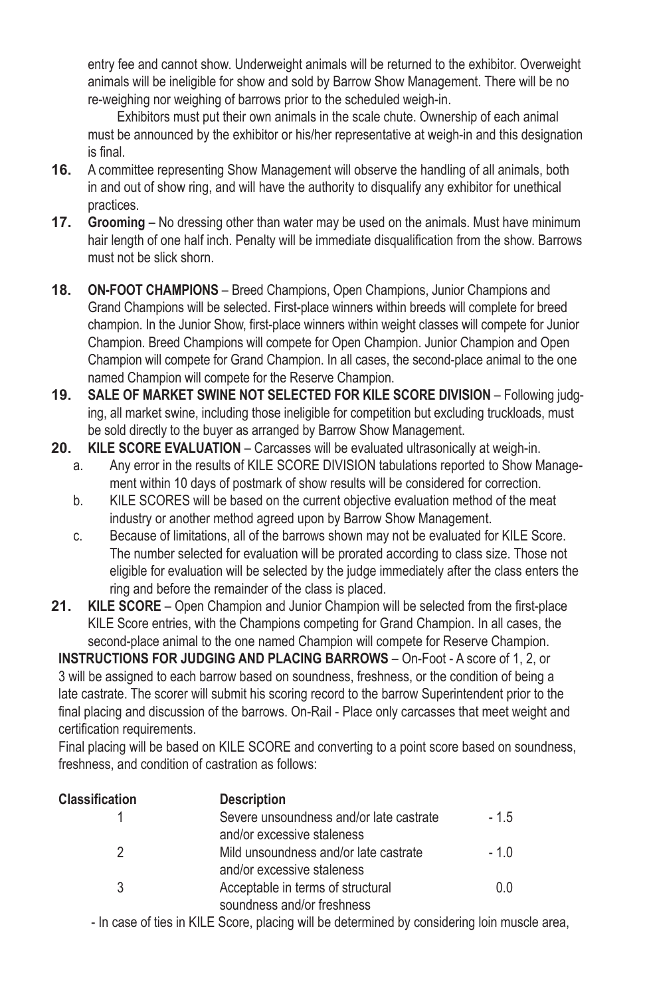entry fee and cannot show. Underweight animals will be returned to the exhibitor. Overweight animals will be ineligible for show and sold by Barrow Show Management. There will be no re-weighing nor weighing of barrows prior to the scheduled weigh-in.

Exhibitors must put their own animals in the scale chute. Ownership of each animal must be announced by the exhibitor or his/her representative at weigh-in and this designation is final.

- **16.** A committee representing Show Management will observe the handling of all animals, both in and out of show ring, and will have the authority to disqualify any exhibitor for unethical practices.
- **17. Grooming** No dressing other than water may be used on the animals. Must have minimum hair length of one half inch. Penalty will be immediate disqualification from the show. Barrows must not be slick shorn.
- **18. ON‑FOOT CHAMPIONS** Breed Champions, Open Champions, Junior Champions and Grand Champions will be selected. First-place winners within breeds will complete for breed champion. In the Junior Show, first-place winners within weight classes will compete for Junior Champion. Breed Champions will compete for Open Champion. Junior Champion and Open Champion will compete for Grand Champion. In all cases, the second-place animal to the one named Champion will compete for the Reserve Champion.
- **19. SALE OF MARKET SWINE NOT SELECTED FOR KILE SCORE DIVISION** Following judging, all market swine, including those ineligible for competition but excluding truckloads, must be sold directly to the buyer as arranged by Barrow Show Management.
- **20. KILE SCORE EVALUATION** Carcasses will be evaluated ultrasonically at weigh-in.
	- a. Any error in the results of KILE SCORE DIVISION tabulations reported to Show Management within 10 days of postmark of show results will be considered for correction.
	- b. KILE SCORES will be based on the current objective evaluation method of the meat industry or another method agreed upon by Barrow Show Management.
	- c. Because of limitations, all of the barrows shown may not be evaluated for KILE Score. The number selected for evaluation will be prorated according to class size. Those not eligible for evaluation will be selected by the judge immediately after the class enters the ring and before the remainder of the class is placed.
- **21. KILE SCORE** Open Champion and Junior Champion will be selected from the first-place KILE Score entries, with the Champions competing for Grand Champion. In all cases, the second-place animal to the one named Champion will compete for Reserve Champion.

**INSTRUCTIONS FOR JUDGING AND PLACING BARROWS** – On‑Foot ‑ A score of 1, 2, or 3 will be assigned to each barrow based on soundness, freshness, or the condition of being a late castrate. The scorer will submit his scoring record to the barrow Superintendent prior to the final placing and discussion of the barrows. On-Rail - Place only carcasses that meet weight and certification requirements.

Final placing will be based on KILE SCORE and converting to a point score based on soundness, freshness, and condition of castration as follows:

| <b>Classification</b> | <b>Description</b>                      |        |
|-----------------------|-----------------------------------------|--------|
|                       | Severe unsoundness and/or late castrate | $-1.5$ |
|                       | and/or excessive staleness              |        |
|                       | Mild unsoundness and/or late castrate   | $-1.0$ |
|                       | and/or excessive staleness              |        |
|                       | Acceptable in terms of structural       | 0.0    |
|                       | soundness and/or freshness              |        |

‑ In case of ties in KILE Score, placing will be determined by considering loin muscle area,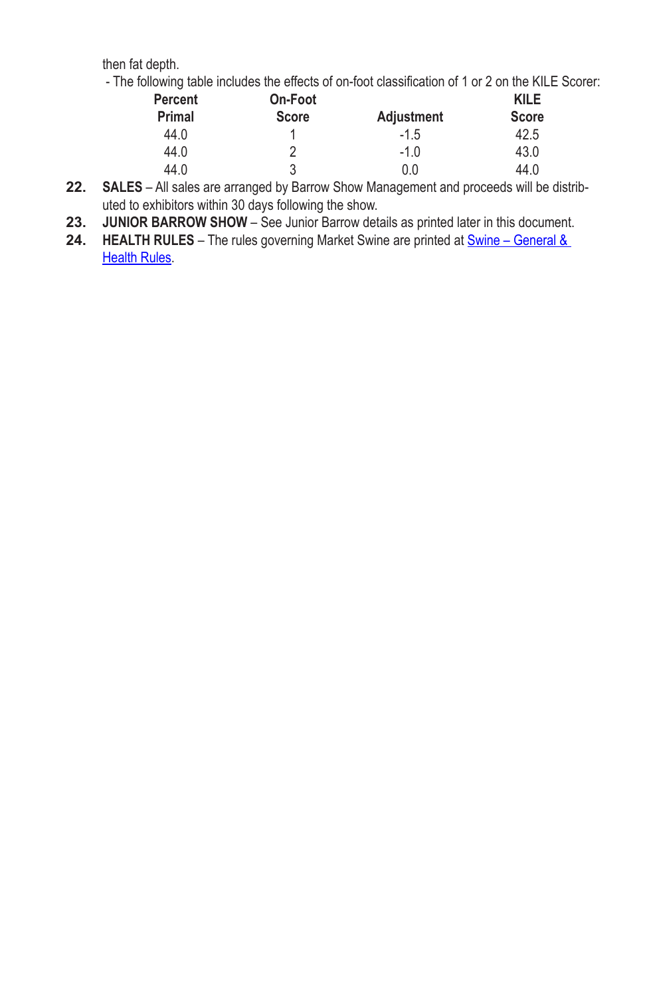then fat depth.

- The following table includes the effects of on-foot classification of 1 or 2 on the KILE Scorer:

| <b>Percent</b> | On-Foot      |                   | KILE         |
|----------------|--------------|-------------------|--------------|
| <b>Primal</b>  | <b>Score</b> | <b>Adjustment</b> | <b>Score</b> |
| 44.0           |              | $-1.5$            | 42.5         |
| 44.0           | 2            | $-1.0$            | 43.0         |
| 44.0           | 3            | 0.0               | 44.0         |

- **22. SALES** All sales are arranged by Barrow Show Management and proceeds will be distributed to exhibitors within 30 days following the show.
- **23. JUNIOR BARROW SHOW** See Junior Barrow details as printed later in this document.
- 24. **HEALTH RULES** The rules governing Market Swine are printed at **Swine** General & Health Rules.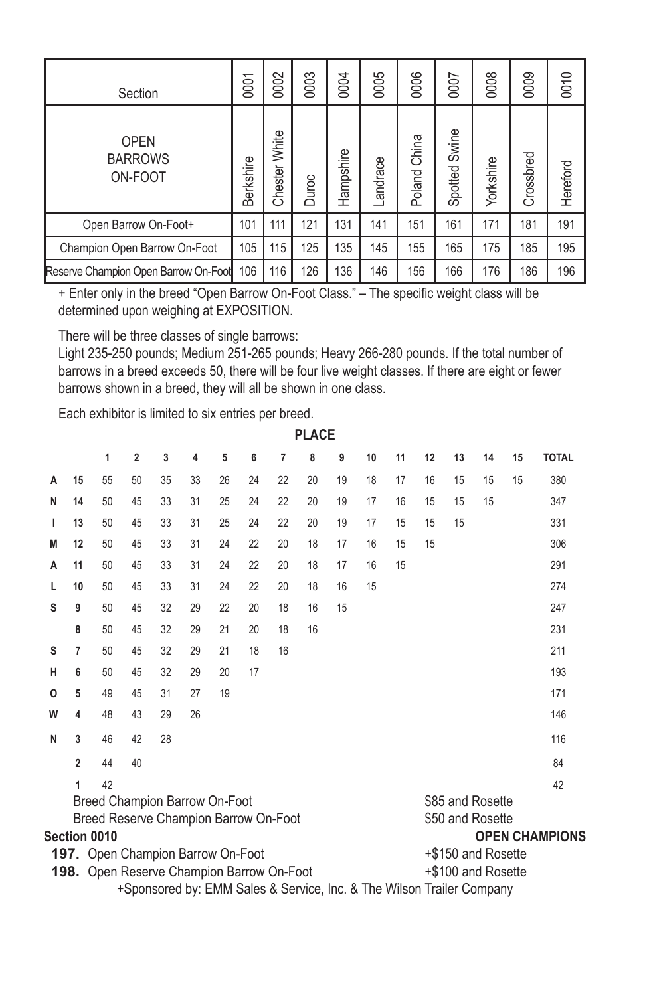| Section                                  | 0001      | 0002          | 0003  | 0004      | 0005     | 0006            | 0007             | 0008      | 0009      | 0010     |
|------------------------------------------|-----------|---------------|-------|-----------|----------|-----------------|------------------|-----------|-----------|----------|
| <b>OPEN</b><br><b>BARROWS</b><br>ON-FOOT | Berkshire | Chester White | Duroc | Hampshire | Landrace | China<br>Poland | Swine<br>Spotted | Yorkshire | Crossbred | Hereford |
| Open Barrow On-Foot+                     | 101       | 111           | 121   | 131       | 141      | 151             | 161              | 171       | 181       | 191      |
| Champion Open Barrow On-Foot             | 105       | 115           | 125   | 135       | 145      | 155             | 165              | 175       | 185       | 195      |
| Reserve Champion Open Barrow On-Foot     | 106       | 116           | 126   | 36        | 146      | 156             | 166              | 176       | 186       | 196      |

+ Enter only in the breed "Open Barrow On‑Foot Class." – The specific weight class will be determined upon weighing at EXPOSITION.

There will be three classes of single barrows:

Light 235-250 pounds; Medium 251-265 pounds; Heavy 266-280 pounds. If the total number of barrows in a breed exceeds 50, there will be four live weight classes. If there are eight or fewer barrows shown in a breed, they will all be shown in one class.

Each exhibitor is limited to six entries per breed.

|   | <b>PLACE</b> |                                                  |                |    |                                                                       |    |    |    |    |    |    |    |    |    |                    |    |                       |
|---|--------------|--------------------------------------------------|----------------|----|-----------------------------------------------------------------------|----|----|----|----|----|----|----|----|----|--------------------|----|-----------------------|
|   |              | 1                                                | $\overline{2}$ | 3  | 4                                                                     | 5  | 6  | 7  | 8  | 9  | 10 | 11 | 12 | 13 | 14                 | 15 | <b>TOTAL</b>          |
| A | 15           | 55                                               | 50             | 35 | 33                                                                    | 26 | 24 | 22 | 20 | 19 | 18 | 17 | 16 | 15 | 15                 | 15 | 380                   |
| N | 14           | 50                                               | 45             | 33 | 31                                                                    | 25 | 24 | 22 | 20 | 19 | 17 | 16 | 15 | 15 | 15                 |    | 347                   |
| ı | 13           | 50                                               | 45             | 33 | 31                                                                    | 25 | 24 | 22 | 20 | 19 | 17 | 15 | 15 | 15 |                    |    | 331                   |
| M | 12           | 50                                               | 45             | 33 | 31                                                                    | 24 | 22 | 20 | 18 | 17 | 16 | 15 | 15 |    |                    |    | 306                   |
| A | 11           | 50                                               | 45             | 33 | 31                                                                    | 24 | 22 | 20 | 18 | 17 | 16 | 15 |    |    |                    |    | 291                   |
| L | 10           | 50                                               | 45             | 33 | 31                                                                    | 24 | 22 | 20 | 18 | 16 | 15 |    |    |    |                    |    | 274                   |
| S | 9            | 50                                               | 45             | 32 | 29                                                                    | 22 | 20 | 18 | 16 | 15 |    |    |    |    |                    |    | 247                   |
|   | 8            | 50                                               | 45             | 32 | 29                                                                    | 21 | 20 | 18 | 16 |    |    |    |    |    |                    |    | 231                   |
| s | 7            | 50                                               | 45             | 32 | 29                                                                    | 21 | 18 | 16 |    |    |    |    |    |    |                    |    | 211                   |
| н | 6            | 50                                               | 45             | 32 | 29                                                                    | 20 | 17 |    |    |    |    |    |    |    |                    |    | 193                   |
| o | 5            | 49                                               | 45             | 31 | 27                                                                    | 19 |    |    |    |    |    |    |    |    |                    |    | 171                   |
| W | 4            | 48                                               | 43             | 29 | 26                                                                    |    |    |    |    |    |    |    |    |    |                    |    | 146                   |
| N | 3            | 46                                               | 42             | 28 |                                                                       |    |    |    |    |    |    |    |    |    |                    |    | 116                   |
|   | 2            | 44                                               | 40             |    |                                                                       |    |    |    |    |    |    |    |    |    |                    |    | 84                    |
|   | 1            | 42                                               |                |    |                                                                       |    |    |    |    |    |    |    |    |    |                    |    | 42                    |
|   |              | Breed Champion Barrow On-Foot                    |                |    |                                                                       |    |    |    |    |    |    |    |    |    | \$85 and Rosette   |    |                       |
|   |              | Breed Reserve Champion Barrow On-Foot            |                |    |                                                                       |    |    |    |    |    |    |    |    |    | \$50 and Rosette   |    |                       |
|   |              | Section 0010                                     |                |    |                                                                       |    |    |    |    |    |    |    |    |    |                    |    | <b>OPEN CHAMPIONS</b> |
|   |              | <b>197.</b> Open Champion Barrow On-Foot         |                |    |                                                                       |    |    |    |    |    |    |    |    |    | +\$150 and Rosette |    |                       |
|   |              | <b>198.</b> Open Reserve Champion Barrow On-Foot |                |    |                                                                       |    |    |    |    |    |    |    |    |    | +\$100 and Rosette |    |                       |
|   |              |                                                  |                |    | +Sponsored by: EMM Sales & Service, Inc. & The Wilson Trailer Company |    |    |    |    |    |    |    |    |    |                    |    |                       |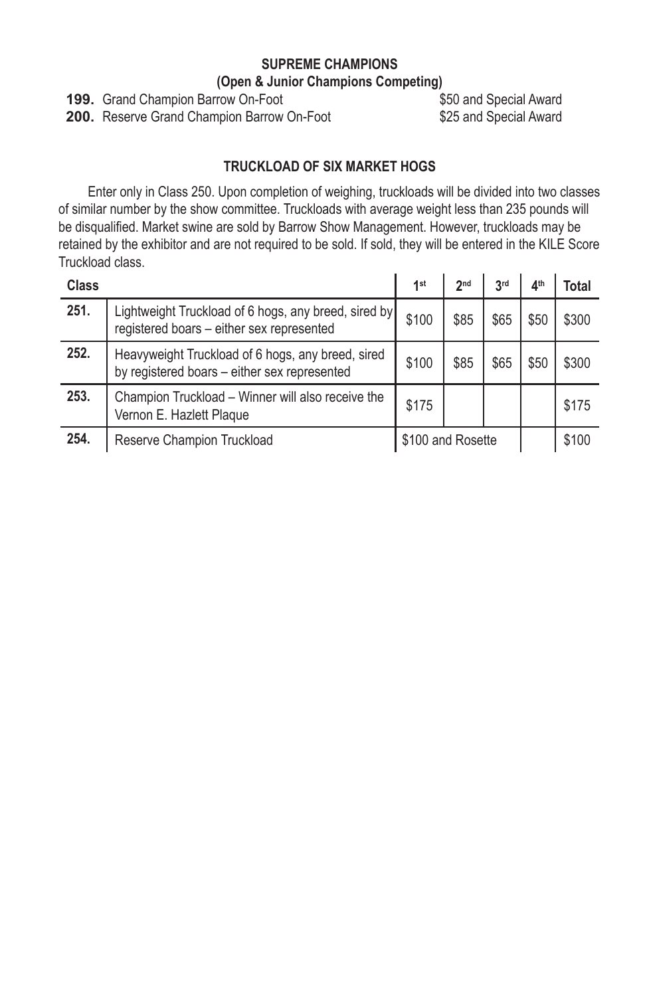#### **SUPREME CHAMPIONS (Open & Junior Champions Competing)**

**199.** Grand Champion Barrow On-Foot \$50 and Special Award

**200.** Reserve Grand Champion Barrow On-Foot \$25 and Special Award

## **TRUCKLOAD OF SIX MARKET HOGS**

Enter only in Class 250. Upon completion of weighing, truckloads will be divided into two classes of similar number by the show committee. Truckloads with average weight less than 235 pounds will be disqualified. Market swine are sold by Barrow Show Management. However, truckloads may be retained by the exhibitor and are not required to be sold. If sold, they will be entered in the KILE Score Truckload class.

| Class |                                                                                                   | 1st               | 2 <sub>nd</sub> | 3 <sup>rd</sup> | 4 <sup>th</sup> | Total |
|-------|---------------------------------------------------------------------------------------------------|-------------------|-----------------|-----------------|-----------------|-------|
| 251.  | Lightweight Truckload of 6 hogs, any breed, sired by<br>registered boars - either sex represented | \$100             | \$85            | \$65            | \$50            | \$300 |
| 252.  | Heavyweight Truckload of 6 hogs, any breed, sired<br>by registered boars - either sex represented | \$100             | \$85            | \$65            | \$50            | \$300 |
| 253.  | Champion Truckload - Winner will also receive the<br>Vernon E. Hazlett Plaque                     | \$175             |                 |                 |                 | \$175 |
| 254.  | Reserve Champion Truckload                                                                        | \$100 and Rosette |                 |                 |                 | \$100 |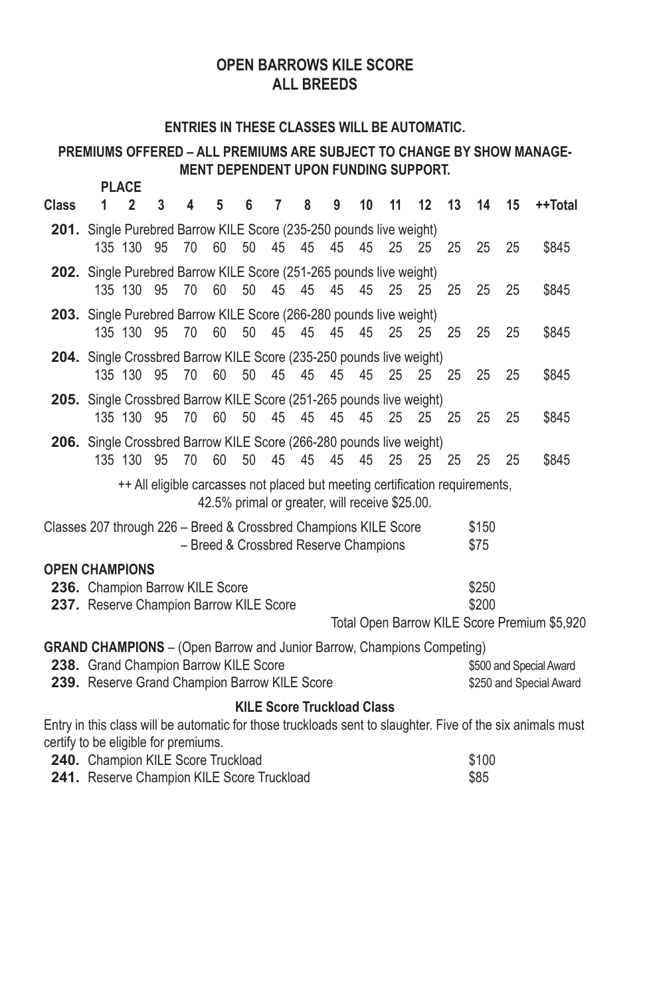## **OPEN BARROWS KILE SCORE ALL BREEDS**

#### **ENTRIES IN THESE CLASSES WILL BE AUTOMATIC.**

#### **PREMIUMS OFFERED – ALL PREMIUMS ARE SUBJECT TO CHANGE BY SHOW MANAGE‑ MENT DEPENDENT UPON FUNDING SUPPORT. PLACE**

|                                                                               |                                                                                                                                                                                         | PLAUE        |               |    |    |    |    |                                       |    |    |    |    |    |                |    |                                                    |
|-------------------------------------------------------------------------------|-----------------------------------------------------------------------------------------------------------------------------------------------------------------------------------------|--------------|---------------|----|----|----|----|---------------------------------------|----|----|----|----|----|----------------|----|----------------------------------------------------|
| Class                                                                         | 1                                                                                                                                                                                       | $\mathbf{2}$ | 3             | 4  | 5  | 6  | 7  | 8                                     | 9  | 10 | 11 | 12 | 13 | 14             | 15 | ++Total                                            |
|                                                                               | 201. Single Purebred Barrow KILE Score (235-250 pounds live weight)                                                                                                                     | 135 130 95   |               | 70 | 60 | 50 | 45 | 45                                    | 45 | 45 | 25 | 25 | 25 | 25             | 25 | \$845                                              |
|                                                                               | 202. Single Purebred Barrow KILE Score (251-265 pounds live weight)                                                                                                                     |              | 135 130 95 70 |    | 60 |    |    | 50 45 45                              | 45 | 45 | 25 | 25 | 25 | 25             | 25 | \$845                                              |
|                                                                               | 203. Single Purebred Barrow KILE Score (266-280 pounds live weight)                                                                                                                     |              | 135 130 95 70 |    | 60 |    |    | 50 45 45                              | 45 | 45 | 25 | 25 | 25 | 25             | 25 | \$845                                              |
|                                                                               | 204. Single Crossbred Barrow KILE Score (235-250 pounds live weight)                                                                                                                    | 135 130 95   |               | 70 | 60 | 50 | 45 | 45                                    | 45 | 45 | 25 | 25 | 25 | 25             | 25 | \$845                                              |
|                                                                               | 205. Single Crossbred Barrow KILE Score (251-265 pounds live weight)                                                                                                                    | 135 130 95   |               | 70 | 60 | 50 |    | 45 45                                 | 45 | 45 | 25 | 25 | 25 | 25             | 25 | \$845                                              |
|                                                                               | 206. Single Crossbred Barrow KILE Score (266-280 pounds live weight)                                                                                                                    | 135 130 95   |               | 70 | 60 | 50 | 45 | 45                                    | 45 | 45 | 25 | 25 | 25 | 25             | 25 | \$845                                              |
|                                                                               | ++ All eligible carcasses not placed but meeting certification requirements,<br>42.5% primal or greater, will receive \$25.00.                                                          |              |               |    |    |    |    |                                       |    |    |    |    |    |                |    |                                                    |
| Classes 207 through 226 - Breed & Crossbred Champions KILE Score              |                                                                                                                                                                                         |              |               |    |    |    |    | - Breed & Crossbred Reserve Champions |    |    |    |    |    | \$150<br>\$75  |    |                                                    |
| <b>OPEN CHAMPIONS</b>                                                         |                                                                                                                                                                                         |              |               |    |    |    |    |                                       |    |    |    |    |    |                |    |                                                    |
|                                                                               | 236. Champion Barrow KILE Score<br>237. Reserve Champion Barrow KILE Score                                                                                                              |              |               |    |    |    |    |                                       |    |    |    |    |    | \$250<br>\$200 |    |                                                    |
|                                                                               |                                                                                                                                                                                         |              |               |    |    |    |    |                                       |    |    |    |    |    |                |    | Total Open Barrow KILE Score Premium \$5,920       |
| <b>GRAND CHAMPIONS</b> - (Open Barrow and Junior Barrow, Champions Competing) | 238. Grand Champion Barrow KILE Score<br>239. Reserve Grand Champion Barrow KILE Score                                                                                                  |              |               |    |    |    |    |                                       |    |    |    |    |    |                |    | \$500 and Special Award<br>\$250 and Special Award |
|                                                                               |                                                                                                                                                                                         |              |               |    |    |    |    |                                       |    |    |    |    |    |                |    |                                                    |
|                                                                               | <b>KILE Score Truckload Class</b><br>Entry in this class will be automatic for those truckloads sent to slaughter. Five of the six animals must<br>certify to be eligible for premiums. |              |               |    |    |    |    |                                       |    |    |    |    |    |                |    |                                                    |

| <b>240.</b> Champion KILE Score Truckload         | \$100 |
|---------------------------------------------------|-------|
| <b>241.</b> Reserve Champion KILE Score Truckload | \$85  |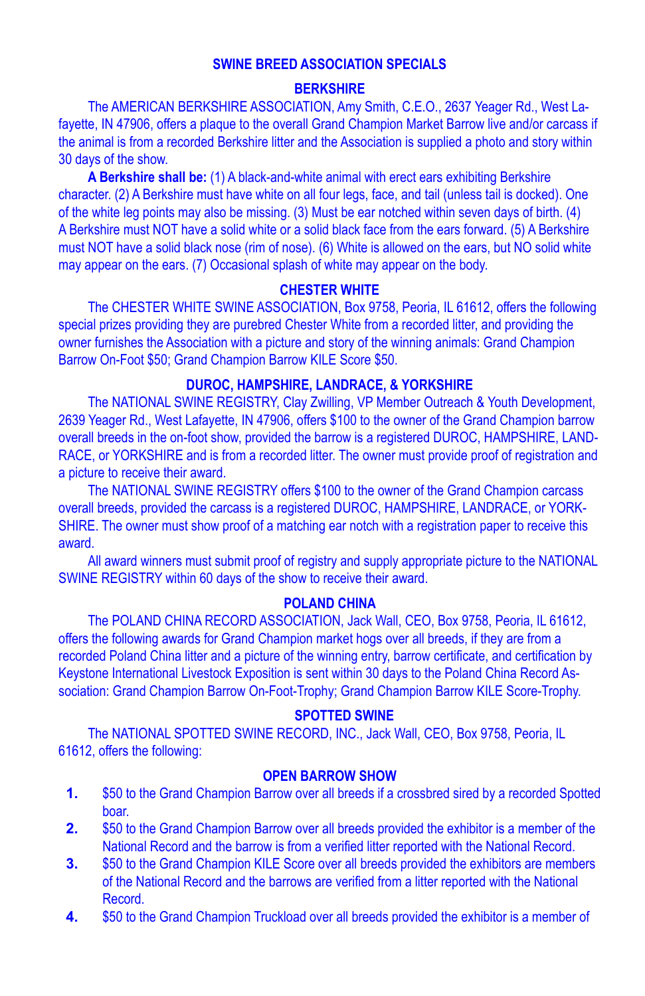#### **SWINE BREED ASSOCIATION SPECIALS**

#### **BERKSHIRE**

The AMERICAN BERKSHIRE ASSOCIATION, Amy Smith, C.E.O., 2637 Yeager Rd., West Lafayette, IN 47906, offers a plaque to the overall Grand Champion Market Barrow live and/or carcass if the animal is from a recorded Berkshire litter and the Association is supplied a photo and story within 30 days of the show.

**A Berkshire shall be:** (1) A black-and-white animal with erect ears exhibiting Berkshire character. (2) A Berkshire must have white on all four legs, face, and tail (unless tail is docked). One of the white leg points may also be missing. (3) Must be ear notched within seven days of birth. (4) A Berkshire must NOT have a solid white or a solid black face from the ears forward. (5) A Berkshire must NOT have a solid black nose (rim of nose). (6) White is allowed on the ears, but NO solid white may appear on the ears. (7) Occasional splash of white may appear on the body.

#### **CHESTER WHITE**

The CHESTER WHITE SWINE ASSOCIATION, Box 9758, Peoria, IL 61612, offers the following special prizes providing they are purebred Chester White from a recorded litter, and providing the owner furnishes the Association with a picture and story of the winning animals: Grand Champion Barrow On-Foot \$50; Grand Champion Barrow KILE Score \$50.

#### **DUROC, HAMPSHIRE, LANDRACE, & YORKSHIRE**

The NATIONAL SWINE REGISTRY, Clay Zwilling, VP Member Outreach & Youth Development, 2639 Yeager Rd., West Lafayette, IN 47906, offers \$100 to the owner of the Grand Champion barrow overall breeds in the on-foot show, provided the barrow is a registered DUROC, HAMPSHIRE, LAND-RACE, or YORKSHIRE and is from a recorded litter. The owner must provide proof of registration and a picture to receive their award.

The NATIONAL SWINE REGISTRY offers \$100 to the owner of the Grand Champion carcass overall breeds, provided the carcass is a registered DUROC, HAMPSHIRE, LANDRACE, or YORK-SHIRE. The owner must show proof of a matching ear notch with a registration paper to receive this award.

All award winners must submit proof of registry and supply appropriate picture to the NATIONAL SWINE REGISTRY within 60 days of the show to receive their award.

#### **POLAND CHINA**

The POLAND CHINA RECORD ASSOCIATION, Jack Wall, CEO, Box 9758, Peoria, IL 61612, offers the following awards for Grand Champion market hogs over all breeds, if they are from a recorded Poland China litter and a picture of the winning entry, barrow certificate, and certification by Keystone International Livestock Exposition is sent within 30 days to the Poland China Record Association: Grand Champion Barrow On-Foot-Trophy; Grand Champion Barrow KILE Score-Trophy.

#### **SPOTTED SWINE**

The NATIONAL SPOTTED SWINE RECORD, INC., Jack Wall, CEO, Box 9758, Peoria, IL 61612, offers the following:

#### **OPEN BARROW SHOW**

- **1.** \$50 to the Grand Champion Barrow over all breeds if a crossbred sired by a recorded Spotted boar.
- **2.** \$50 to the Grand Champion Barrow over all breeds provided the exhibitor is a member of the National Record and the barrow is from a verified litter reported with the National Record.
- **3.** \$50 to the Grand Champion KILE Score over all breeds provided the exhibitors are members of the National Record and the barrows are verified from a litter reported with the National Record.
- **4.** \$50 to the Grand Champion Truckload over all breeds provided the exhibitor is a member of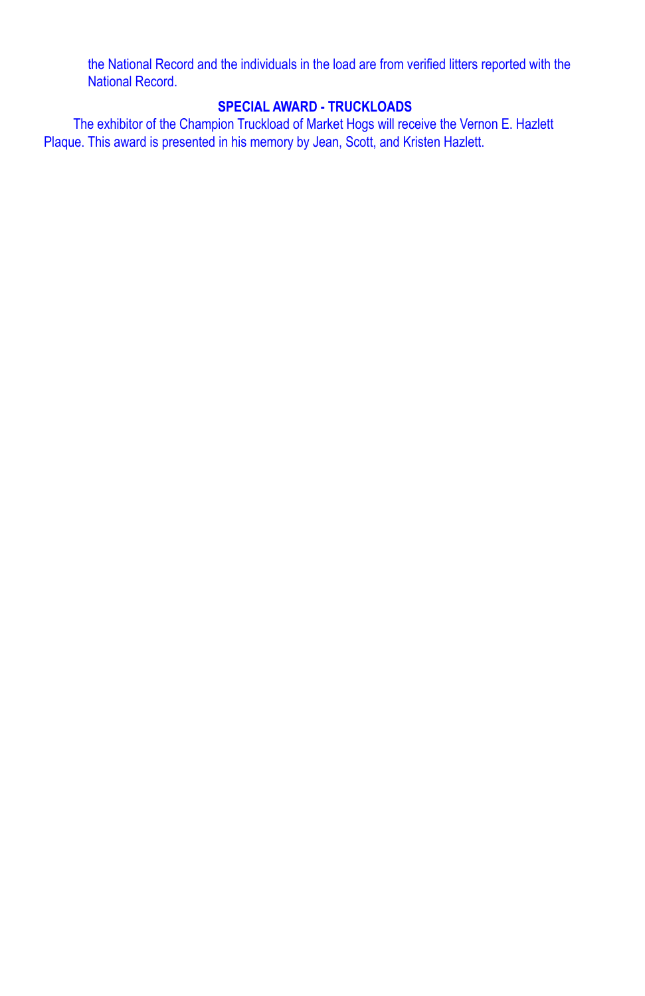the National Record and the individuals in the load are from verified litters reported with the National Record.

## **SPECIAL AWARD ‑ TRUCKLOADS**

The exhibitor of the Champion Truckload of Market Hogs will receive the Vernon E. Hazlett Plaque. This award is presented in his memory by Jean, Scott, and Kristen Hazlett.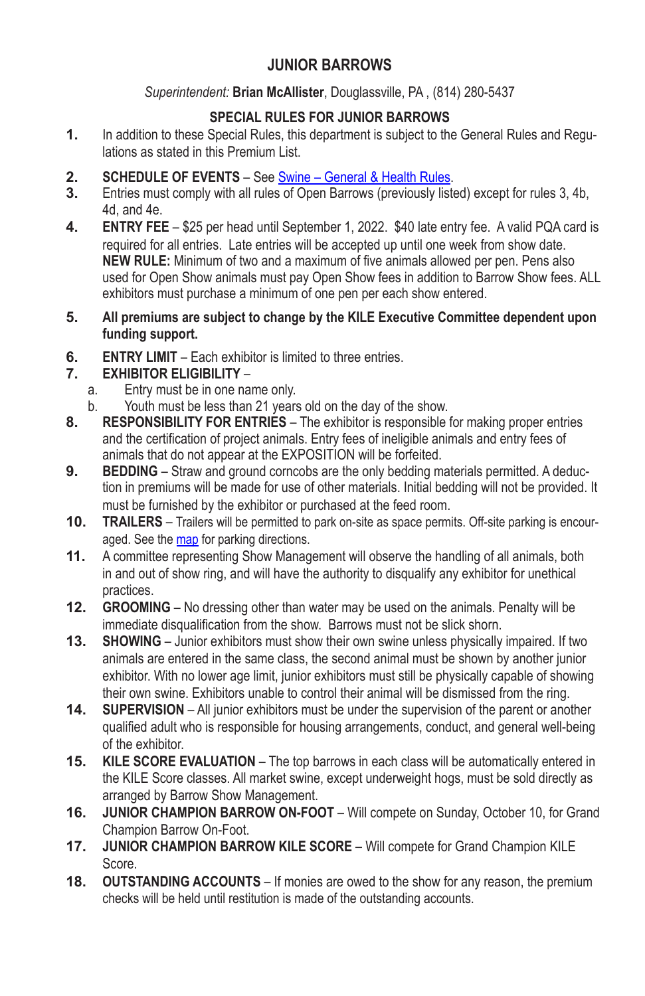## **JUNIOR BARROWS**

#### *Superintendent:* **Brian McAllister**, Douglassville, PA , (814) 280-5437

## **SPECIAL RULES FOR JUNIOR BARROWS**

- **1.** In addition to these Special Rules, this department is subject to the General Rules and Regulations as stated in this Premium List.
- **2. SCHEDULE OF EVENTS** See Swine General & Health Rules.<br>**3.** Entries must comply with all rules of Open Barrows (previously liste
- **3.** Entries must comply with all rules of Open Barrows (previously listed) except for rules 3, 4b, 4d, and 4e.
- **4. ENTRY FEE** \$25 per head until September 1, 2022. \$40 late entry fee. A valid PQA card is required for all entries. Late entries will be accepted up until one week from show date. **NEW RULE:** Minimum of two and a maximum of five animals allowed per pen. Pens also used for Open Show animals must pay Open Show fees in addition to Barrow Show fees. ALL exhibitors must purchase a minimum of one pen per each show entered.
- **5. All premiums are subject to change by the KILE Executive Committee dependent upon funding support.**
- **6. ENTRY LIMIT** Each exhibitor is limited to three entries.

# **7. EXHIBITOR ELIGIBILITY** –

- Entry must be in one name only.
- b. Youth must be less than 21 years old on the day of the show.
- **8. RESPONSIBILITY FOR ENTRIES** The exhibitor is responsible for making proper entries and the certification of project animals. Entry fees of ineligible animals and entry fees of animals that do not appear at the EXPOSITION will be forfeited.
- **9. BEDDING** Straw and ground corncobs are the only bedding materials permitted. A deduction in premiums will be made for use of other materials. Initial bedding will not be provided. It must be furnished by the exhibitor or purchased at the feed room.
- **10. TRAILERS** Trailers will be permitted to park on-site as space permits. Off-site parking is encouraged. See the map for parking directions.
- **11.** A committee representing Show Management will observe the handling of all animals, both in and out of show ring, and will have the authority to disqualify any exhibitor for unethical practices.
- **12. GROOMING** No dressing other than water may be used on the animals. Penalty will be immediate disqualification from the show. Barrows must not be slick shorn.
- **13. SHOWING** Junior exhibitors must show their own swine unless physically impaired. If two animals are entered in the same class, the second animal must be shown by another junior exhibitor. With no lower age limit, junior exhibitors must still be physically capable of showing their own swine. Exhibitors unable to control their animal will be dismissed from the ring.
- **14. SUPERVISION** All junior exhibitors must be under the supervision of the parent or another qualified adult who is responsible for housing arrangements, conduct, and general well-being of the exhibitor.
- **15. KILE SCORE EVALUATION** The top barrows in each class will be automatically entered in the KILE Score classes. All market swine, except underweight hogs, must be sold directly as arranged by Barrow Show Management.
- **16. JUNIOR CHAMPION BARROW ON‑FOOT** Will compete on Sunday, October 10, for Grand Champion Barrow On‑Foot.
- **17. JUNIOR CHAMPION BARROW KILE SCORE** Will compete for Grand Champion KILE Score.
- **18. OUTSTANDING ACCOUNTS** If monies are owed to the show for any reason, the premium checks will be held until restitution is made of the outstanding accounts.